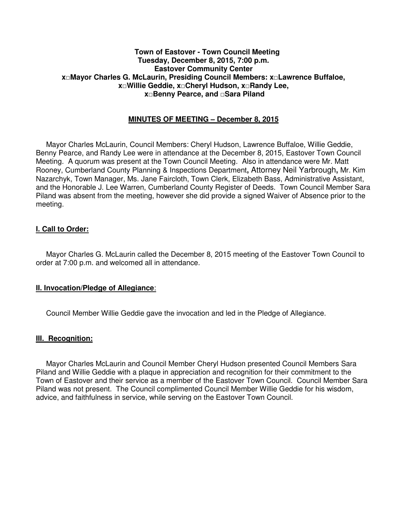#### **Town of Eastover - Town Council Meeting Tuesday, December 8, 2015, 7:00 p.m. Eastover Community Center x□Mayor Charles G. McLaurin, Presiding Council Members: x□Lawrence Buffaloe, x□Willie Geddie, x□Cheryl Hudson, x□Randy Lee, x□Benny Pearce, and □Sara Piland**

### **MINUTES OF MEETING – December 8, 2015**

 Mayor Charles McLaurin, Council Members: Cheryl Hudson, Lawrence Buffaloe, Willie Geddie, Benny Pearce, and Randy Lee were in attendance at the December 8, 2015, Eastover Town Council Meeting. A quorum was present at the Town Council Meeting. Also in attendance were Mr. Matt Rooney, Cumberland County Planning & Inspections Department**,** Attorney Neil Yarbrough**,** Mr. Kim Nazarchyk, Town Manager, Ms. Jane Faircloth, Town Clerk, Elizabeth Bass, Administrative Assistant, and the Honorable J. Lee Warren, Cumberland County Register of Deeds. Town Council Member Sara Piland was absent from the meeting, however she did provide a signed Waiver of Absence prior to the meeting.

#### **I. Call to Order:**

 Mayor Charles G. McLaurin called the December 8, 2015 meeting of the Eastover Town Council to order at 7:00 p.m. and welcomed all in attendance.

#### **II. Invocation/Pledge of Allegiance**:

Council Member Willie Geddie gave the invocation and led in the Pledge of Allegiance.

#### **III. Recognition:**

 Mayor Charles McLaurin and Council Member Cheryl Hudson presented Council Members Sara Piland and Willie Geddie with a plaque in appreciation and recognition for their commitment to the Town of Eastover and their service as a member of the Eastover Town Council. Council Member Sara Piland was not present. The Council complimented Council Member Willie Geddie for his wisdom, advice, and faithfulness in service, while serving on the Eastover Town Council.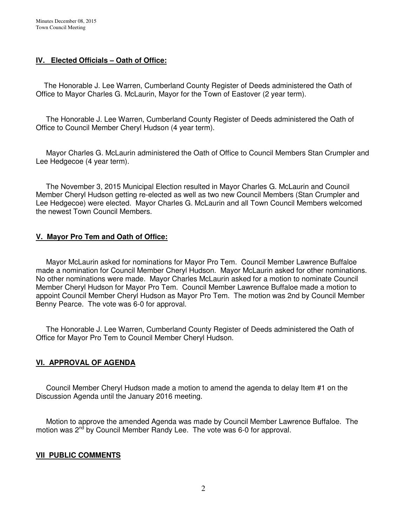## **IV. Elected Officials – Oath of Office:**

The Honorable J. Lee Warren, Cumberland County Register of Deeds administered the Oath of Office to Mayor Charles G. McLaurin, Mayor for the Town of Eastover (2 year term).

 The Honorable J. Lee Warren, Cumberland County Register of Deeds administered the Oath of Office to Council Member Cheryl Hudson (4 year term).

 Mayor Charles G. McLaurin administered the Oath of Office to Council Members Stan Crumpler and Lee Hedgecoe (4 year term).

 The November 3, 2015 Municipal Election resulted in Mayor Charles G. McLaurin and Council Member Cheryl Hudson getting re-elected as well as two new Council Members (Stan Crumpler and Lee Hedgecoe) were elected. Mayor Charles G. McLaurin and all Town Council Members welcomed the newest Town Council Members.

## **V. Mayor Pro Tem and Oath of Office:**

Mayor McLaurin asked for nominations for Mayor Pro Tem. Council Member Lawrence Buffaloe made a nomination for Council Member Cheryl Hudson. Mayor McLaurin asked for other nominations. No other nominations were made. Mayor Charles McLaurin asked for a motion to nominate Council Member Cheryl Hudson for Mayor Pro Tem. Council Member Lawrence Buffaloe made a motion to appoint Council Member Cheryl Hudson as Mayor Pro Tem. The motion was 2nd by Council Member Benny Pearce. The vote was 6-0 for approval.

 The Honorable J. Lee Warren, Cumberland County Register of Deeds administered the Oath of Office for Mayor Pro Tem to Council Member Cheryl Hudson.

# **VI. APPROVAL OF AGENDA**

 Council Member Cheryl Hudson made a motion to amend the agenda to delay Item #1 on the Discussion Agenda until the January 2016 meeting.

 Motion to approve the amended Agenda was made by Council Member Lawrence Buffaloe. The motion was 2<sup>nd</sup> by Council Member Randy Lee. The vote was 6-0 for approval.

## **VII PUBLIC COMMENTS**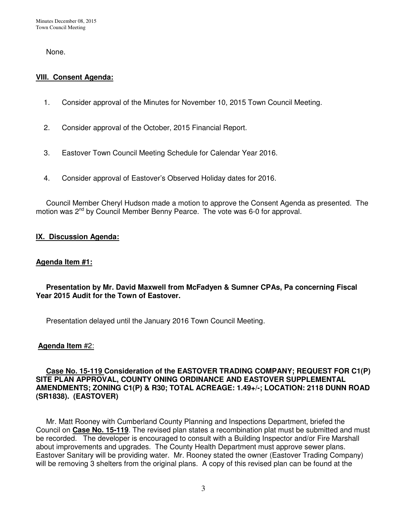None.

## **VIII. Consent Agenda:**

- 1. Consider approval of the Minutes for November 10, 2015 Town Council Meeting.
- 2. Consider approval of the October, 2015 Financial Report.
- 3. Eastover Town Council Meeting Schedule for Calendar Year 2016.
- 4. Consider approval of Eastover's Observed Holiday dates for 2016.

 Council Member Cheryl Hudson made a motion to approve the Consent Agenda as presented. The motion was 2<sup>nd</sup> by Council Member Benny Pearce. The vote was 6-0 for approval.

## **IX. Discussion Agenda:**

## **Agenda Item #1:**

## **Presentation by Mr. David Maxwell from McFadyen & Sumner CPAs, Pa concerning Fiscal Year 2015 Audit for the Town of Eastover.**

Presentation delayed until the January 2016 Town Council Meeting.

## **Agenda Item** #2:

### **Case No. 15-119 Consideration of the EASTOVER TRADING COMPANY; REQUEST FOR C1(P) SITE PLAN APPROVAL, COUNTY ONING ORDINANCE AND EASTOVER SUPPLEMENTAL AMENDMENTS; ZONING C1(P) & R30; TOTAL ACREAGE: 1.49+/-; LOCATION: 2118 DUNN ROAD (SR1838). (EASTOVER)**

 Mr. Matt Rooney with Cumberland County Planning and Inspections Department, briefed the Council on **Case No. 15-119**. The revised plan states a recombination plat must be submitted and must be recorded. The developer is encouraged to consult with a Building Inspector and/or Fire Marshall about improvements and upgrades. The County Health Department must approve sewer plans. Eastover Sanitary will be providing water. Mr. Rooney stated the owner (Eastover Trading Company) will be removing 3 shelters from the original plans. A copy of this revised plan can be found at the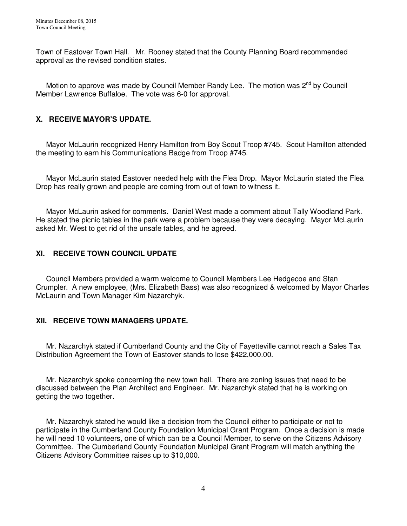Town of Eastover Town Hall. Mr. Rooney stated that the County Planning Board recommended approval as the revised condition states.

Motion to approve was made by Council Member Randy Lee. The motion was 2<sup>nd</sup> by Council Member Lawrence Buffaloe. The vote was 6-0 for approval.

# **X. RECEIVE MAYOR'S UPDATE.**

 Mayor McLaurin recognized Henry Hamilton from Boy Scout Troop #745. Scout Hamilton attended the meeting to earn his Communications Badge from Troop #745.

 Mayor McLaurin stated Eastover needed help with the Flea Drop. Mayor McLaurin stated the Flea Drop has really grown and people are coming from out of town to witness it.

 Mayor McLaurin asked for comments. Daniel West made a comment about Tally Woodland Park. He stated the picnic tables in the park were a problem because they were decaying. Mayor McLaurin asked Mr. West to get rid of the unsafe tables, and he agreed.

## **XI. RECEIVE TOWN COUNCIL UPDATE**

 Council Members provided a warm welcome to Council Members Lee Hedgecoe and Stan Crumpler. A new employee, (Mrs. Elizabeth Bass) was also recognized & welcomed by Mayor Charles McLaurin and Town Manager Kim Nazarchyk.

## **XII. RECEIVE TOWN MANAGERS UPDATE.**

Mr. Nazarchyk stated if Cumberland County and the City of Fayetteville cannot reach a Sales Tax Distribution Agreement the Town of Eastover stands to lose \$422,000.00.

 Mr. Nazarchyk spoke concerning the new town hall. There are zoning issues that need to be discussed between the Plan Architect and Engineer. Mr. Nazarchyk stated that he is working on getting the two together.

 Mr. Nazarchyk stated he would like a decision from the Council either to participate or not to participate in the Cumberland County Foundation Municipal Grant Program. Once a decision is made he will need 10 volunteers, one of which can be a Council Member, to serve on the Citizens Advisory Committee. The Cumberland County Foundation Municipal Grant Program will match anything the Citizens Advisory Committee raises up to \$10,000.